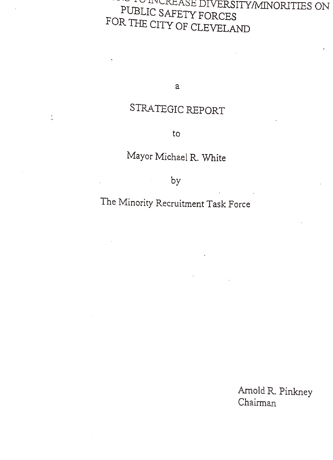# NCREASE DIVERSITY/MINORITIES ON PUBLIC SAFETY FORCES FOR THE CITY OF CLEVELAND

a

### STRATEGIC REPORT

 $\frac{1}{2}$ 

to

### Mayor Michael R. White

by

## The Minority Recruitment Task Force

Arnold R. Pinkney Chairman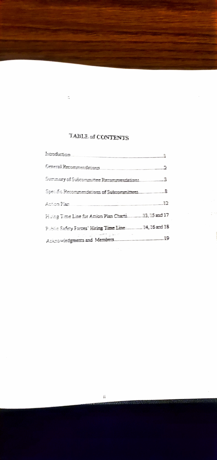#### TABLE of CONTENTS

 $\frac{1}{2}$ 

| Oenerall Recommendations                              |  |
|-------------------------------------------------------|--|
|                                                       |  |
|                                                       |  |
|                                                       |  |
| Histog Time Line for Action Plan Charts113, 15 and 17 |  |
| Public Safety Forces' Hiring Time Line 14, 16 and 18  |  |
|                                                       |  |

 $\mathcal{I}^{(1)}$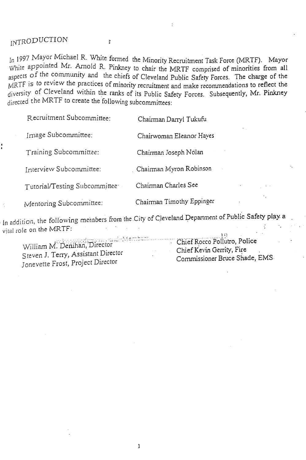### INTRODUCTION

š

In 1997 Mayor Michael R. White formed the Minority Recruitment Task Force (MRTF). Mayor White appointed Mr. Arnold R. Pinkney to chair the MRTF comprised of minorities from all aspects of the community and the chiefs of Cleveland Public Safety Forces. The charge of the MRTF is to review the practices of minority recruitment and make recommendations to reflect the diversity of Cleveland within the ranks of its Public Safety Forces. Subsequently, Mr. Pinkney directed the MRTF to create the following subcommittees:

Recuitment Subcommittee: Chairman Daryl Tukufu

Image Subcommittee: Chairwoman Eleanor Hayes

Training Subcommittee: Chairman Joseph Nolan

Interview Subcommittee: Chaiman Myron Robinson

Tutorial/Testing Subcommittee Chairman Charles See

Mentoring Subcommittee: Chairman Timothy Eppinger

In addition, the following mernbers from the City of Cleveland Department of Public Safety play a vital role on the MRTF:

William M. Denihan,Director Steven J. Tery, Assistant Director Jonevette Frost, Project Director

,10 Chief Rocco Pollutro, Police Chief Kevin Gerrity, Fire Commissioner Bruce Shade, EMS